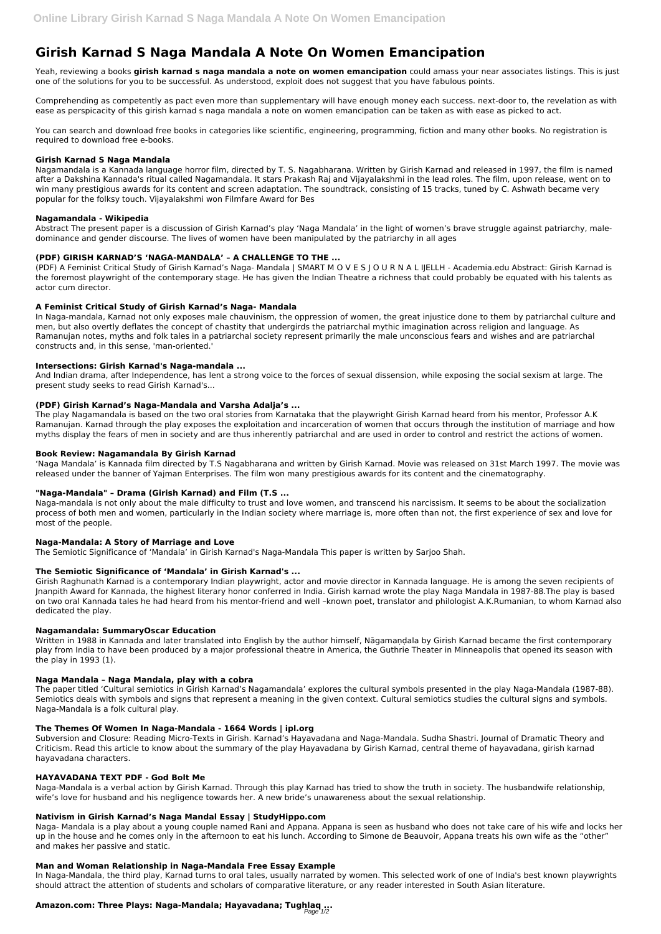# **Girish Karnad S Naga Mandala A Note On Women Emancipation**

Yeah, reviewing a books **girish karnad s naga mandala a note on women emancipation** could amass your near associates listings. This is just one of the solutions for you to be successful. As understood, exploit does not suggest that you have fabulous points.

Comprehending as competently as pact even more than supplementary will have enough money each success. next-door to, the revelation as with ease as perspicacity of this girish karnad s naga mandala a note on women emancipation can be taken as with ease as picked to act.

You can search and download free books in categories like scientific, engineering, programming, fiction and many other books. No registration is required to download free e-books.

### **Girish Karnad S Naga Mandala**

Nagamandala is a Kannada language horror film, directed by T. S. Nagabharana. Written by Girish Karnad and released in 1997, the film is named after a Dakshina Kannada's ritual called Nagamandala. It stars Prakash Raj and Vijayalakshmi in the lead roles. The film, upon release, went on to win many prestigious awards for its content and screen adaptation. The soundtrack, consisting of 15 tracks, tuned by C. Ashwath became very popular for the folksy touch. Vijayalakshmi won Filmfare Award for Bes

#### **Nagamandala - Wikipedia**

Abstract The present paper is a discussion of Girish Karnad's play 'Naga Mandala' in the light of women's brave struggle against patriarchy, maledominance and gender discourse. The lives of women have been manipulated by the patriarchy in all ages

## **(PDF) GIRISH KARNAD'S 'NAGA-MANDALA' – A CHALLENGE TO THE ...**

(PDF) A Feminist Critical Study of Girish Karnad's Naga- Mandala | SMART M O V E S J O U R N A L IJELLH - Academia.edu Abstract: Girish Karnad is the foremost playwright of the contemporary stage. He has given the Indian Theatre a richness that could probably be equated with his talents as actor cum director.

### **A Feminist Critical Study of Girish Karnad's Naga- Mandala**

In Naga-mandala, Karnad not only exposes male chauvinism, the oppression of women, the great injustice done to them by patriarchal culture and men, but also overtly deflates the concept of chastity that undergirds the patriarchal mythic imagination across religion and language. As Ramanujan notes, myths and folk tales in a patriarchal society represent primarily the male unconscious fears and wishes and are patriarchal constructs and, in this sense, 'man-oriented.'

### **Intersections: Girish Karnad's Naga-mandala ...**

And Indian drama, after Independence, has lent a strong voice to the forces of sexual dissension, while exposing the social sexism at large. The present study seeks to read Girish Karnad's...

### **(PDF) Girish Karnad's Naga-Mandala and Varsha Adalja's ...**

The play Nagamandala is based on the two oral stories from Karnataka that the playwright Girish Karnad heard from his mentor, Professor A.K Ramanujan. Karnad through the play exposes the exploitation and incarceration of women that occurs through the institution of marriage and how myths display the fears of men in society and are thus inherently patriarchal and are used in order to control and restrict the actions of women.

### **Book Review: Nagamandala By Girish Karnad**

'Naga Mandala' is Kannada film directed by T.S Nagabharana and written by Girish Karnad. Movie was released on 31st March 1997. The movie was released under the banner of Yajman Enterprises. The film won many prestigious awards for its content and the cinematography.

### **"Naga-Mandala" – Drama (Girish Karnad) and Film (T.S ...**

Naga-mandala is not only about the male difficulty to trust and love women, and transcend his narcissism. It seems to be about the socialization process of both men and women, particularly in the Indian society where marriage is, more often than not, the first experience of sex and love for most of the people.

### **Naga-Mandala: A Story of Marriage and Love**

The Semiotic Significance of 'Mandala' in Girish Karnad's Naga-Mandala This paper is written by Sarjoo Shah.

### **The Semiotic Significance of 'Mandala' in Girish Karnad's ...**

Girish Raghunath Karnad is a contemporary Indian playwright, actor and movie director in Kannada language. He is among the seven recipients of Jnanpith Award for Kannada, the highest literary honor conferred in India. Girish karnad wrote the play Naga Mandala in 1987-88.The play is based on two oral Kannada tales he had heard from his mentor-friend and well –known poet, translator and philologist A.K.Rumanian, to whom Karnad also dedicated the play.

### **Nagamandala: SummaryOscar Education**

Written in 1988 in Kannada and later translated into English by the author himself, Nāgamaṇḍala by Girish Karnad became the first contemporary play from India to have been produced by a major professional theatre in America, the Guthrie Theater in Minneapolis that opened its season with the play in 1993 (1).

### **Naga Mandala – Naga Mandala, play with a cobra**

The paper titled 'Cultural semiotics in Girish Karnad's Nagamandala' explores the cultural symbols presented in the play Naga-Mandala (1987-88). Semiotics deals with symbols and signs that represent a meaning in the given context. Cultural semiotics studies the cultural signs and symbols.

Naga-Mandala is a folk cultural play.

### **The Themes Of Women In Naga-Mandala - 1664 Words | ipl.org**

Subversion and Closure: Reading Micro-Texts in Girish. Karnad's Hayavadana and Naga-Mandala. Sudha Shastri. Journal of Dramatic Theory and Criticism. Read this article to know about the summary of the play Hayavadana by Girish Karnad, central theme of hayavadana, girish karnad hayavadana characters.

#### **HAYAVADANA TEXT PDF - God Bolt Me**

Naga-Mandala is a verbal action by Girish Karnad. Through this play Karnad has tried to show the truth in society. The husbandwife relationship, wife's love for husband and his negligence towards her. A new bride's unawareness about the sexual relationship.

#### **Nativism in Girish Karnad's Naga Mandal Essay | StudyHippo.com**

Naga- Mandala is a play about a young couple named Rani and Appana. Appana is seen as husband who does not take care of his wife and locks her up in the house and he comes only in the afternoon to eat his lunch. According to Simone de Beauvoir, Appana treats his own wife as the "other" and makes her passive and static.

#### **Man and Woman Relationship in Naga-Mandala Free Essay Example**

In Naga-Mandala, the third play, Karnad turns to oral tales, usually narrated by women. This selected work of one of India's best known playwrights should attract the attention of students and scholars of comparative literature, or any reader interested in South Asian literature.

## **Amazon.com: Three Plays: Naga-Mandala; Hayavadana; Tughlaq ...** Page 1/2